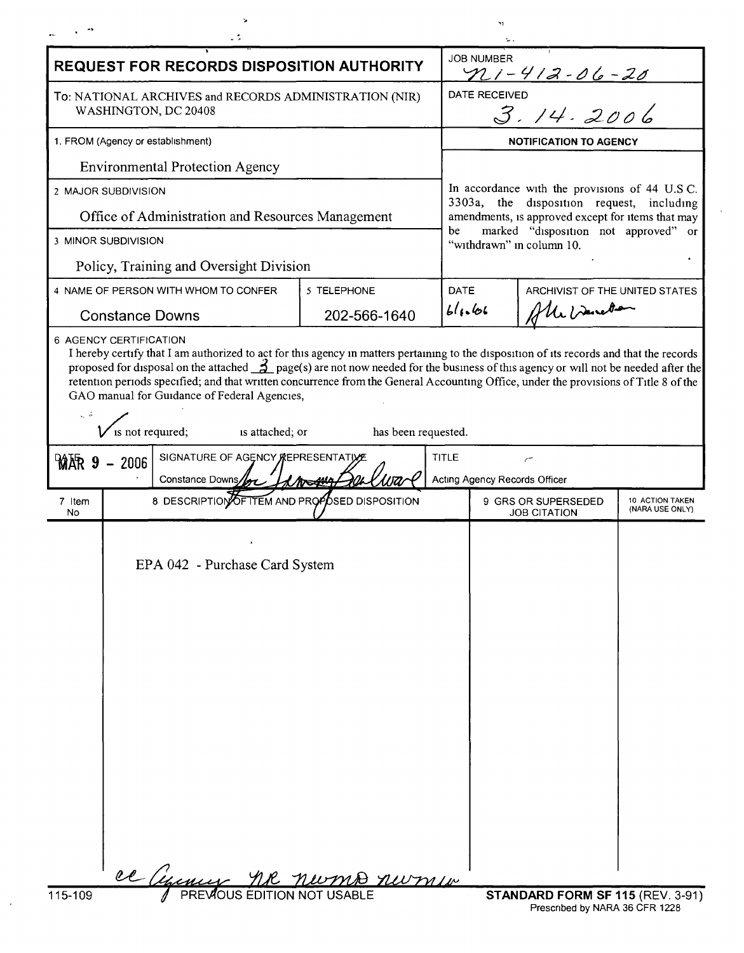| <b>REQUEST FOR RECORDS DISPOSITION AUTHORITY</b>                                                                                                                                                                                                                                                                                                                                                                                                                                                                                                  |  |                                                     |              |              | <b>JOB NUMBER</b><br>$211 - 412 - 06 - 20$                                                                                                       |                                                   |                                    |  |
|---------------------------------------------------------------------------------------------------------------------------------------------------------------------------------------------------------------------------------------------------------------------------------------------------------------------------------------------------------------------------------------------------------------------------------------------------------------------------------------------------------------------------------------------------|--|-----------------------------------------------------|--------------|--------------|--------------------------------------------------------------------------------------------------------------------------------------------------|---------------------------------------------------|------------------------------------|--|
| To: NATIONAL ARCHIVES and RECORDS ADMINISTRATION (NIR)<br>WASHINGTON, DC 20408                                                                                                                                                                                                                                                                                                                                                                                                                                                                    |  |                                                     |              |              | DATE RECEIVED<br>3.14.2006                                                                                                                       |                                                   |                                    |  |
| 1. FROM (Agency or establishment)                                                                                                                                                                                                                                                                                                                                                                                                                                                                                                                 |  |                                                     |              |              | <b>NOTIFICATION TO AGENCY</b>                                                                                                                    |                                                   |                                    |  |
| <b>Environmental Protection Agency</b>                                                                                                                                                                                                                                                                                                                                                                                                                                                                                                            |  |                                                     |              |              |                                                                                                                                                  |                                                   |                                    |  |
| 2 MAJOR SUBDIVISION                                                                                                                                                                                                                                                                                                                                                                                                                                                                                                                               |  |                                                     |              |              | In accordance with the provisions of 44 U.S.C.<br>3303a, the disposition request, including<br>amendments, is approved except for items that may |                                                   |                                    |  |
| Office of Administration and Resources Management                                                                                                                                                                                                                                                                                                                                                                                                                                                                                                 |  |                                                     |              |              |                                                                                                                                                  |                                                   |                                    |  |
| 3 MINOR SUBDIVISION                                                                                                                                                                                                                                                                                                                                                                                                                                                                                                                               |  |                                                     |              |              | marked "disposition not approved" or<br>be<br>"withdrawn" in column 10.                                                                          |                                                   |                                    |  |
| Policy, Training and Oversight Division                                                                                                                                                                                                                                                                                                                                                                                                                                                                                                           |  |                                                     |              |              |                                                                                                                                                  |                                                   |                                    |  |
| 4 NAME OF PERSON WITH WHOM TO CONFER                                                                                                                                                                                                                                                                                                                                                                                                                                                                                                              |  |                                                     | 5 TELEPHONE  | DATE         |                                                                                                                                                  | ARCHIVIST OF THE UNITED STATES<br>of the banelian |                                    |  |
| <b>Constance Downs</b>                                                                                                                                                                                                                                                                                                                                                                                                                                                                                                                            |  |                                                     | 202-566-1640 | 41.61        |                                                                                                                                                  |                                                   |                                    |  |
| I hereby certify that I am authorized to act for this agency in matters pertaining to the disposition of its records and that the records<br>proposed for disposal on the attached $\tilde{Z}_p$ page(s) are not now needed for the business of this agency or will not be needed after the<br>retention periods specified; and that written concurrence from the General Accounting Office, under the provisions of Title 8 of the<br>GAO manual for Guidance of Federal Agencies,<br>is not required;<br>is attached; or<br>has been requested. |  |                                                     |              |              |                                                                                                                                                  |                                                   |                                    |  |
| SIGNATURE OF AGENCY REPRESENTATIVE<br>$MAR$ 9 - 2006                                                                                                                                                                                                                                                                                                                                                                                                                                                                                              |  |                                                     |              | <b>TITLE</b> |                                                                                                                                                  |                                                   |                                    |  |
| Constance Downs<br>l Mostiva                                                                                                                                                                                                                                                                                                                                                                                                                                                                                                                      |  |                                                     |              |              | Acting Agency Records Officer                                                                                                                    |                                                   |                                    |  |
| 7 Item<br>No                                                                                                                                                                                                                                                                                                                                                                                                                                                                                                                                      |  | 8 DESCRIPTION OF ITEM AND PROP OSED DISPOSITION     |              |              |                                                                                                                                                  | 9 GRS OR SUPERSEDED<br><b>JOB CITATION</b>        | 10 ACTION TAKEN<br>(NARA USE ONLY) |  |
|                                                                                                                                                                                                                                                                                                                                                                                                                                                                                                                                                   |  | EPA 042 - Purchase Card System                      |              |              |                                                                                                                                                  |                                                   |                                    |  |
| 115-109                                                                                                                                                                                                                                                                                                                                                                                                                                                                                                                                           |  | ce annu ne nome nome<br>PREVIOUS EDITION NOT USABLE |              |              |                                                                                                                                                  | <b>STANDARD FORM SF 115 (REV. 3-91)</b>           |                                    |  |

 $\bar{\mathbf{v}}_t$ 

 $\bar{r}$ 

 $\bar{z}$ 

 $\ddot{\phantom{1}}$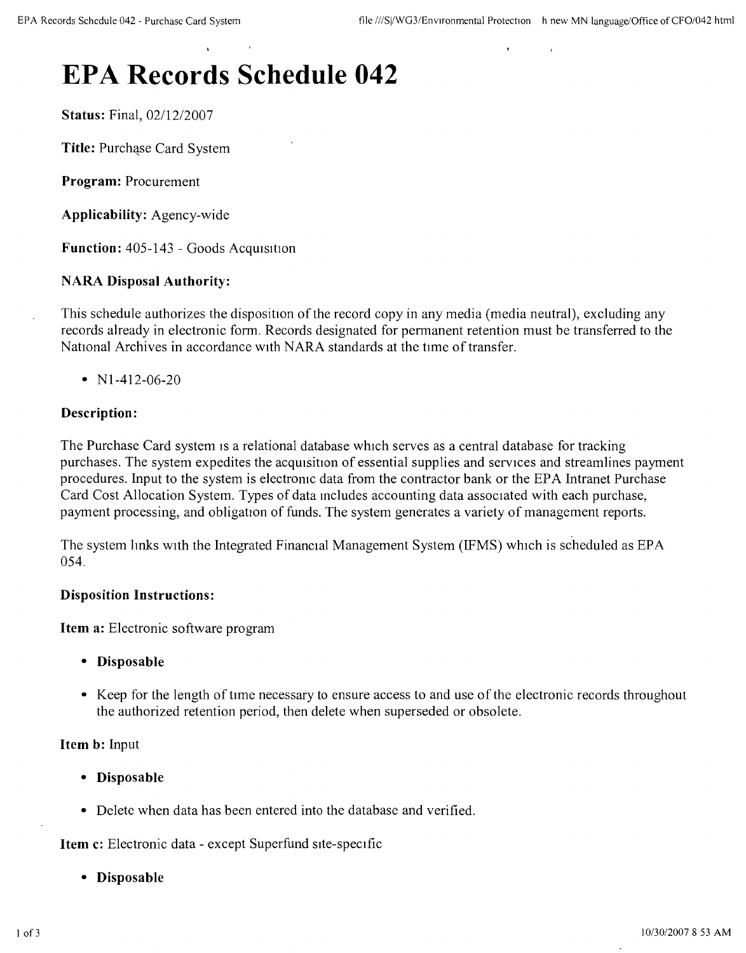# **EPA Records Schedule 042**

**Status:** Final, *0211212007*

**Title:** Purchase Card System

**Program:** Procurement

**Applicability:** Agency-wide

**Function:** 405-143 - Goods Acquisition

## **NARA Disposal Authority:**

This schedule authorizes the disposition of the record copy in any media (media neutral), excluding any records already in electronic form. Records designated for permanent retention must be transferred to the National Archives in accordance with NARA standards at the time of transfer.

•  $N1-412-06-20$ 

#### **Description:**

The Purchase Card system is a relational database which serves as a central database for tracking purchases. The system expedites the acquisition of essential supplies and services and streamlines payment procedures. Input to the system is electronic data from the contractor bank or the EPA Intranet Purchase Card Cost Allocation System. Types of data mcludes accounting data associated with each purchase, payment processing, and obligation of funds. The system generates a variety of management reports.

The system links with the Integrated Financial Management System (IFMS) which is scheduled as EPA 054.

#### **Disposition Instructions:**

**Item a:** Electronic software program

- **• Disposable**
- Keep for the length of time necessary to ensure access to and use of the electronic records throughout the authorized retention period, then delete when superseded or obsolete.

**Item b:** Input

- **• Disposable**
- Delete when data has been entered into the database and verified.

**Item c:** Electronic data - except Superfund site-specific

**• Disposable**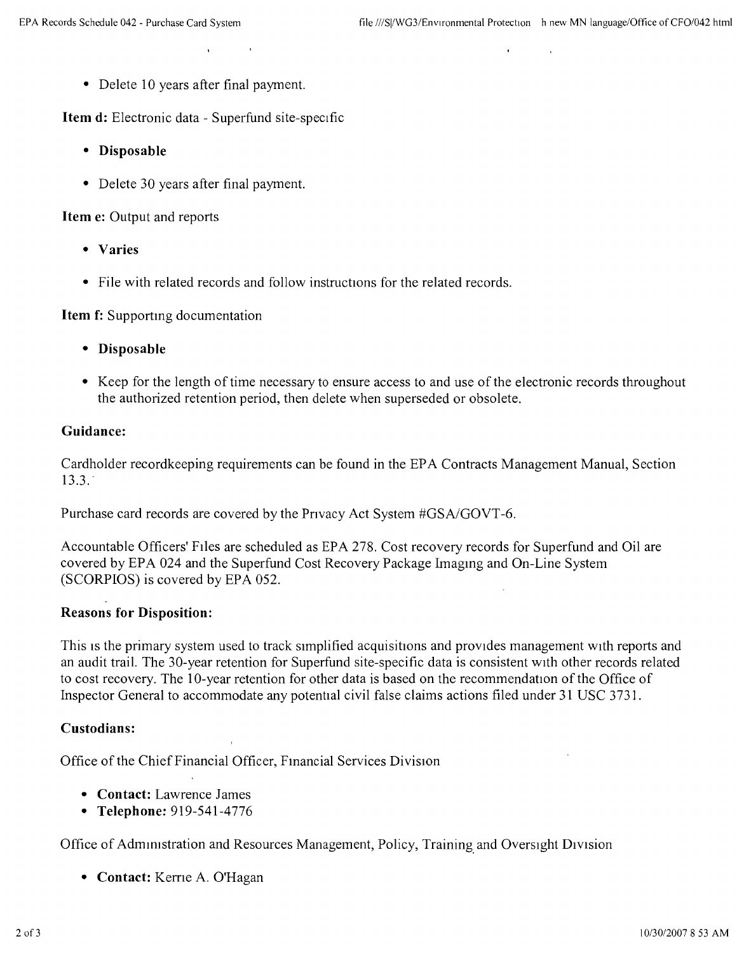• Delete 10 years after final payment.

**Item d:** Electronic data - Superfund site-specific

- **• Disposable**
- Delete 30 years after final payment.

**Item** e: Output and reports

- **• Varies**
- File with related records and follow instructions for the related records.

**Item f:** Supporting documentation

- **• Disposable**
- Keep for the length of time necessary to ensure access to and use of the electronic records throughout the authorized retention period, then delete when superseded or obsolete.

#### **Guidance:**

Cardholder recordkeeping requirements can be found in the EPA Contracts Management Manual, Section l3.3.'

Purchase card records are covered by the Pnvacy Act System #GSAlGOVT -6.

Accountable Officers' Files are scheduled as EPA 278. Cost recovery records for Superfund and Oil are covered by EPA 024 and the Superfund Cost Recovery Package Imaging and On-Line System (SCORPIOS) is covered by EPA 052.

### **Reasons for Disposition:**

This is the primary system used to track simplified acquisitions and provides management with reports and an audit trail. The 30-year retention for Superfund site-specific data is consistent With other records related to cost recovery. The 1O-year retention for other data is based on the recommendation of the Office of Inspector General to accommodate any potential civil false claims actions filed under 31 USC 3731.

#### **Custodians:**

Office of the Chief Financial Officer, Financial Services Division

- **• Contact:** Lawrence James
- **• Telephone:** 919-541-4776

Office of Administration and Resources Management, Policy, Training. and Oversight DIvision

**• Contact:** Kerne A. O'Hagan